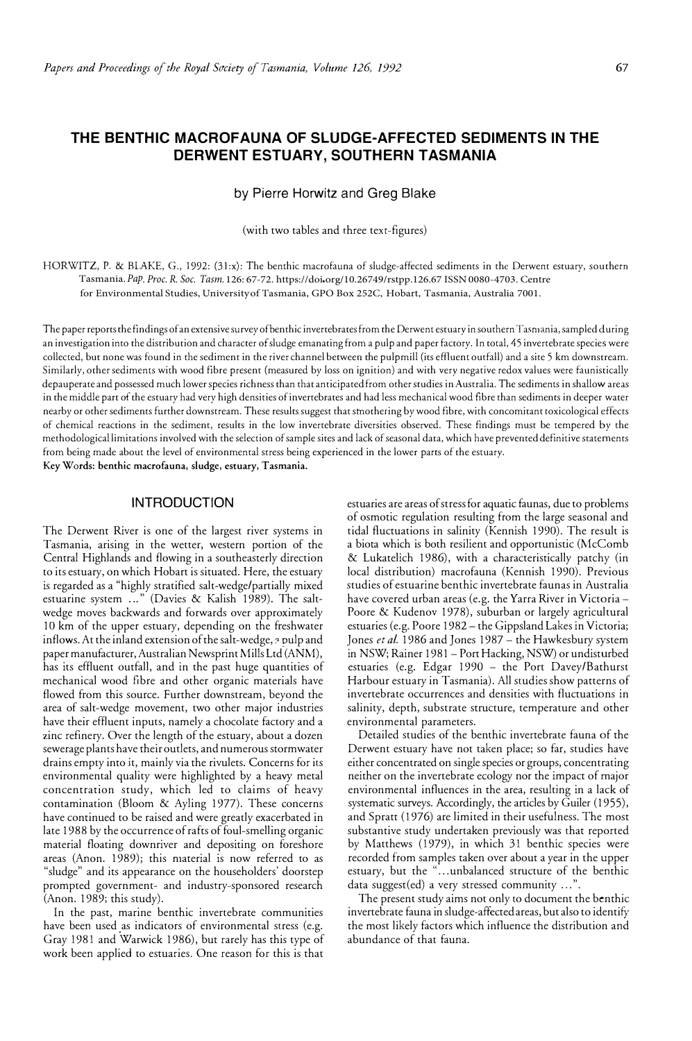# **THE BENTHIC MACROFAUNA OF SLUDGE-AFFECTED SEDIMENTS IN THE DERWENT ESTUARY, SOUTHERN TASMANIA**

by Pierre Horwitz and Greg Blake

(with two tables and three text-figures)

HORWITZ, P. & BLAKE, G., 1992: (31:x): The benthic macrofauna of sludge-affected sediments in the Derwent estuary, southern Tasmania.*Pap. Proc. R. Soc. Tasm.* 126: 67 -72. https://doi.org/10.26749/rstpp.126.67 ISSN 0080-4703. Centre for Environmental Studies, University of Tasmania, GPO Box 252C, Hobart, Tasmania, Australia 7001.

The paper reports the findings ofan extensive surveyofbenthic invertebrates from the Derwent estuary in southern Tasmania, sampled during an investigation into the distribution and character of sludge emanating from a pulp and paper factory. In total, 45 invertebrate species were collected, but none was found in the sediment in the river channel between the pulpmill (its effluent outfall) and a site 5 km downstream. Similarly, other sediments with wood fibre present (measured by loss on ignition) and with very negative redox values were faunistically depauperate and possessed much lower species richness than that anticipated from other studies in Australia. The sediments in shallow areas in the middle part of the estuary had very high densities of invertebrates and had less mechanical wood fibre than sediments in deeper water nearby or other sediments further downstream. These results suggest that smothering by wood fibre, with concomitant toxicological effects of chemical reactions in the sediment, results in the low invertebrate diversities observed. These findings must be tempered by the methodological limitations involved with the selection of sample sites and lack of seasonal data, which have prevented definitive statements from being made about the level of environmental stress being experienced in the lower parts of the estuary. **Key Words: benthic macrofauna, sludge, estuary, Tasmania.** 

## **INTRODUCTION**

The Derwent River is one of the largest river systems in Tasmania, arising in the wetter, western portion of the Central Highlands and flowing in a southeasterly direction to its estuary, on which Hobart is situated. Here, the estuary is regarded as a "highly stratified salt-wedge/partially mixed estuarine system ..." (Davies & Kalish 1989). The saltwedge moves backwards and forwards over approximately 10 km of the upper estuary, depending on the freshwater inflows. At the inland extension of the salt-wedge,? pulp and paper manufacturer, Australian Newsprint Mills Ltd (ANM), has its effluent outfall, and in the past huge quantities of mechanical wood fibre and other organic materials have flowed from this source. Further downstream, beyond the area of salt-wedge movement, two other major industries have their effluent inputs, namely a chocolate factory and a zinc refinery. Over the length of the estuary, about a dozen sewerage plants have their outlets, and numerous srormwater drains empty into it, mainly via the rivulets. Concerns for its environmental quality were highlighted by a heavy metal concentration study, which led to claims of heavy contamination (Bloom & Ayling 1977). These concerns have continued to be raised and were greatly exacerbated in late 1988 by the occurrence of rafts of foul-smelling organic material floating downriver and depositing on foreshore areas (Anon. 1989); this material is now referred to as "sludge" and its appearance on the householders' doorstep prompted government- and industry-sponsored research (Anon. 1989; this study).

In the past, marine benthic invertebrate communities have been used as indicators of environmental stress (e.g. Gray 1981 and Warwick 1986), but rarely has this type of work been applied to estuaries. One reason for this is that

estuaries are areas of stress for aquatic faunas, due to problems of osmotic regulation resulting from the large seasonal and tidal fluctuations in salinity (Kennish 1990). The result is a biota which is both resilient and opportunistic (McComb & Lukatelich 1986), with a characteristically patchy (in local distribution) macrofauna (Kennish 1990). Previous studies of estuarine benthic invertebrate faunas in Australia have covered urban areas (e.g. the Yarra River in Victoria -Poore & Kudenov 1978), suburban or largely agricultural estuaries (e.g. Poore 1982- the Gippsland Lakes in Victoria; Jones et al. 1986 and Jones 1987 - the Hawkesbury system in NSW; Rainer 1981 - Port Hacking, NSW) or undisturbed estuaries (e.g. Edgar 1990 - the Port Davey/Bathurst Harbour estuary in Tasmania). All studies show patterns of invertebrate occurrences and densities with fluctuations in salinity, depth, substrate structure, temperature and other environmental parameters.

Detailed studies of the benthic invertebrate fauna of the Derwent estuary have not taken place; so far, studies have either concentrated on single species or groups, concentrating neither on the invertebrate ecology nor the impact of major environmental influences in the area, resulting in a lack of systematic surveys. Accordingly, the articles by Guiler (1955), and Spratt (1976) are limited in their usefulness. The most substantive study undertaken previously was that reported by Matthews (1979), in which 31 benthic species were recorded from samples taken over about a year in the upper estuary, but the "...unbalanced structure of the benthic data suggest(ed) a very stressed community ... ".

The present study aims not only to document the benthic invertebrate fauna in sludge-affected areas, but also to identify the most likely factors which influence the distribution and abundance of that fauna.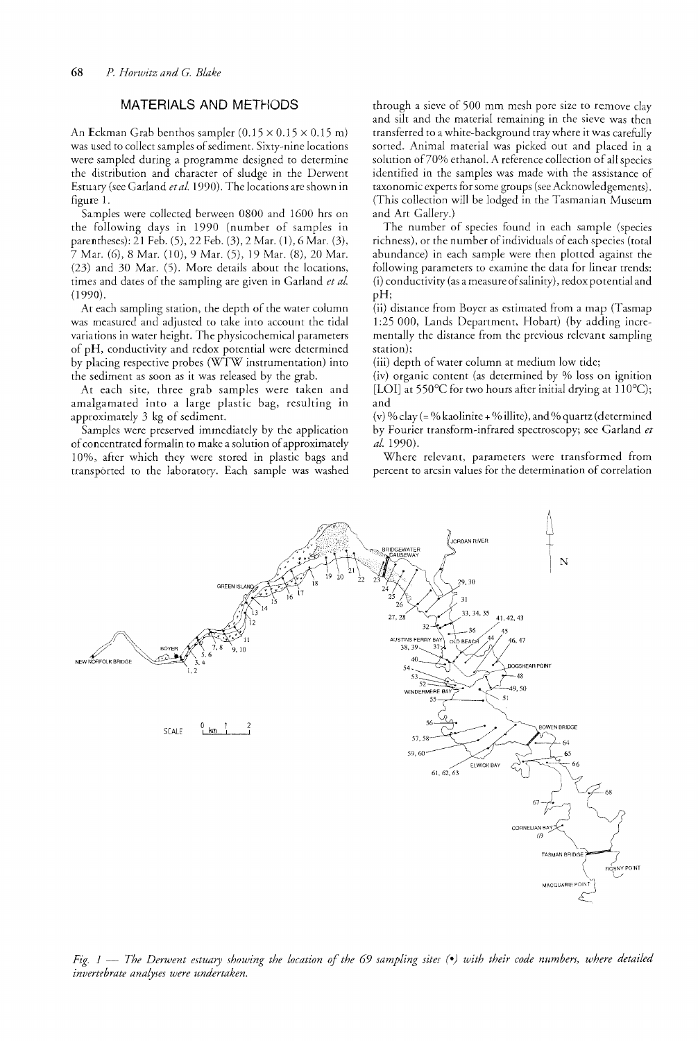# MATERiALS AND METHODS

An Eckman Grab benthos sampler  $(0.15 \times 0.15 \times 0.15 \text{ m})$ was used to collect samples of sediment. Sixty-nine locations were sampled during a programme designed to determine the distribution and character of sludge in the Derwent Estuary (see Garland *et al.* 1990). The locations are shown in figure 1.

Samples were collecred berween 0800 and 1600 hrs on the following days in 1990 (number of samples in parentheses): 21 Feb. (5), 22 Feb. (3), 2 Mar. (1), 6 Mar. (3), 7 Mar. (6), 8 Mar. (10), 9 Mar. (5), 19 Mar. (8), 20 Mar. (23) and 30 Mar. (5). More details about the locations, times and dates of the sampling are given in Garland et al. (1990).

At each sampling station, the depth of the water column was measured and adjusted to take into account the ridal variations in water height. The physicochemical of pH, conductivity and redox potential were determined by placing respective probes (WTW instrumentation) into the sediment as soon as it was released by the grab.

At each site, three grab samples were taken and amalgamated into a large plastic bag, resulting in approximately 3 kg of sediment.

Samples were preserved immediately by the application of concentrated formalin to make a solution of approximately 10%, after which they were stored in plastic bags and transported to the laboratory. Each sample was washed through a sieve of 500 mm mesh pore size to remove clay and silt and the material remaining in the sieve was then transferred to a white-background tray where it was carefully sorted. Animal material was picked out and placed in a solution of  $70%$  ethanol. A reference collection of all species identified in the samples was made with the assistance of taxonomic experts for some groups (see Acknowledgements). (This collection will be iodged in the Tasmanian Museum and Art Gallery.)

The number of species found in each sample (species richness), or the number of individuals of each species (total abundance) in each sample were then plotted against the following parameters to examine the data for linear trends: (i) conductivity (as a measure of salinity), redox potential and pH;

(ii) distance from Boyer as estimated from a map (Tasmap 1:25 000, Lands Department, Hobart) (by adding incrementally the distance from the previous relevant sampling station);

(iii) depth of water column at medium low tide;

(iv) organic content (as determined by % loss on ignition [LOI] at 550 $\degree$ C for two hours after initial drying at 110 $\degree$ C); and

(v) % clay (= % kaolinite + % illite), and % quartz (determined by Fourier transform-infrared spectroscopy; see Garland *et al.* 1990).

Where relevant, parameters were transformed from percent to arcsin values for the determination of correlation



*Fig. 1* — *The Derwent estuary showing the location of the 69 sampling sites (•) with their code numbers, where detailed invertebrate analyses were undertaken.*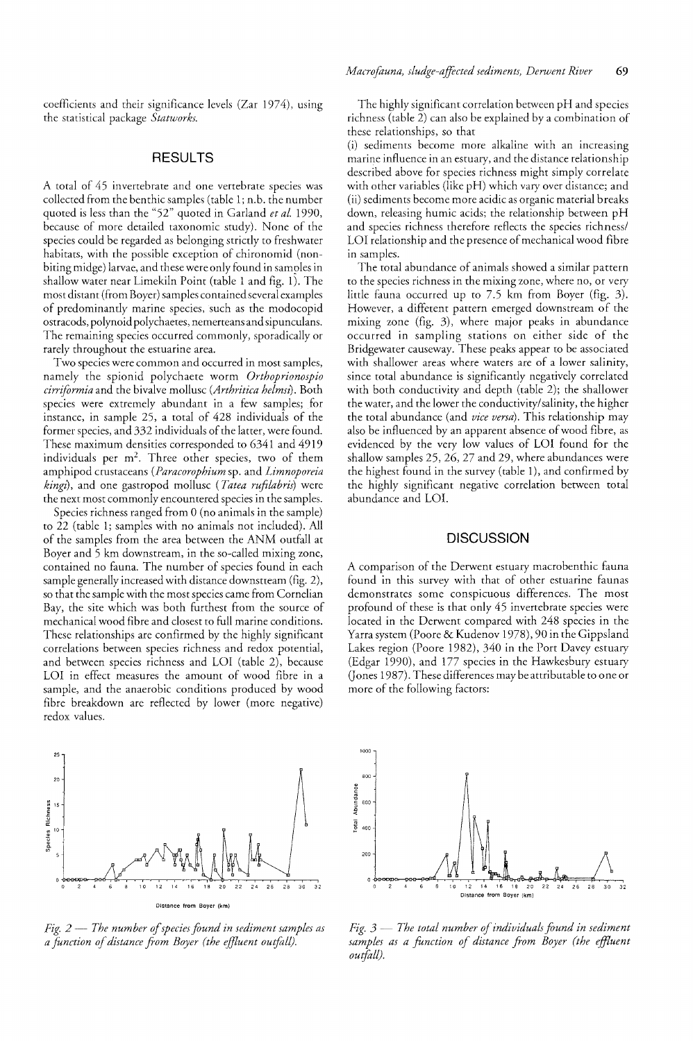coefficients and their significance levels (Zar 1974), the statistical package *Statworks.* 

### RESULTS

A total of 45 invertebrate and one vertebrate species was collected from the benthic samples (table 1; n.b. the number quoted is less than the "52" quoted in Garland *et al. 1990,*  because of more detailed taxonomic study). None of the species could be regarded as belonging strictly to freshwater habitats, with the possible exception of chironomid (nonbiting midge) larvae, and these were only found in samples in shallow water near Limekiln Point (table 1 and fig. 1). The most distant (from Boyer) samples contained several examples of predominandy marine species, such as the modocopid ostracods, polynoid polychaetes, nemerteans and sipunculans. The remaining species occurred commonly, sporadically or rarely throughout the estuarine area.

Two species were common and occurred in most samples, namely the spionid polychaete worm *Orthoprionospio cirriformia* and the bivalve mollusc *(Arthritica helmsl).* Both species were extremely abundant in a few samples; for instance, in sample 25, a total of 428 individuals of the former species, and 332 individuals of the latter, were found. These maximum densities corresponded to 6341 and 4919 individuals per  $m^2$ . Three other species, two of them amphipod crustaceans *(Paracorophium* sp. and *Limnoporeia kingz)*, and one gastropod mollusc *(Tatea rufilabris)* were the next most commonly encountered species in the samples.

Species richness ranged from 0 (no animals in the sample) to 22 (table 1; samples with no animals not included). All of the samples from the area between the ANM outfall at Boyer and 5 km downstream, in the so-called mixing zone, contained no fauna. The number of species found in each sample generally increased with distance downstream (fig. 2), so that the sample with the most species came from Cornelian Bay, the site which was both furthest from the source of mechanical wood fibre and closest to full marine conditions. These relationships are confirmed by the highly significant correlations between species richness and redox potential, and between species richness and LOl (table 2), because LOI in effect measures the amount of wood fibre in a sample, and the anaerobic conditions produced by wood fibre breakdown are reflected by lower (more negative) redox values.

![](_page_2_Figure_5.jpeg)

*Fig. 2 – The number of species found in sediment samples as a function of distance from Boyer (the effluent outfoll).* 

The highly significant correlation between pH and species richness (table 2) can also be explained by a combination of these relationships, so that

(i) sediments become more alkaline with an increasing marine influence in an estuary, and the distance relationship described above for species richness might simply correlate with other variables (like pH) which vary over distance; and (ii) sediments become more acidic as organic material breaks down, releasing humic acids; the relationship between pH and species richness therefore reflects the species richness/ LOl relationship and the presence of mechanical wood fibre in samples.

The total abundance of animals showed a similar pattern to the species richness in the mixing zone, where no, or very little fauna occurred up to 7.5 km from Boyer (fig. 3). However, a diffetent pattern emerged downstream of the mixing zone (fig. 3), where major peaks in abundance occurred in sampling stations on either side of the Bridgewater causeway. These peaks appear to be associated with shallower areas where waters are of a lower salinity, since total abundance is significantly negatively correlated with both conductivity and depth (table 2); the shallower the water, and the lower the conductivity/salinity, the higher the total abundance (and *vice versa).* This relationship may also be influenced by an apparent absence of wood fibre, as evidenced by the very low values of LOI found for the shallow samples 25, 26, 27 and 29, where abundances were the highest found in the survey (table 1), and confirmed by the highly significant negative correlation between total abundance and LOI.

#### **DISCUSSION**

A comparison of the Derwent estuary macrobenthic fauna found in this survey with that of other estuarine faunas demonstrates some conspicuous differences. The most profound of these is that only 45 invertebrate species were located in the Derwent compared with 248 species in the Yarra system (Poore & Kudenov 1978), 90 in the Gippsland Lakes region (Poore 1982), 340 in the Port Davey estuary (Edgar 1990), and 177 species in the Hawkesbury estuary (Jones 1987). These differences may be attributable to one or more of the following factors:

![](_page_2_Figure_13.jpeg)

*fig.*  $3$  – *The total number of individuals found in sediment* samples as a function of distance from Boyer (the effluent *outfoll).*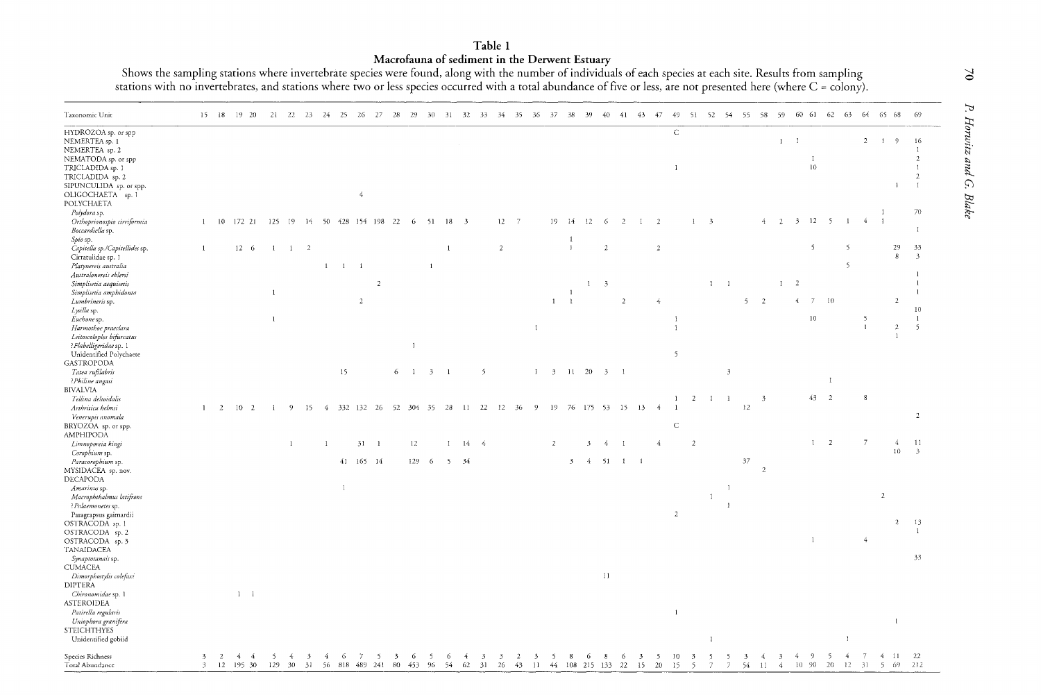# Table 1

Macrofauna of sediment in the Derwent Estuary<br>Shows the sampling stations where invertebrate species were found, along with the number of individuals of each species at each site. Results from sampling<br>stations with no inv

| Taxonomic Unit                                                                 |                |              |    | 15 18 19 20     | 21           | 22           | -23                           | 24           | 25             | 26              | - 27       | 28                            | 29             | 30           | -31          | 32                       | - 33                 | - 34           | 35                   | -36                           | 37                       | 38           | -39               | 40             | -41            | 43 47        |                | 49                 | 51 52 54 55 58               |                         |                           |                |                |                      | 59 60 61 62           |                              | - 63         |                |                | 64 65 68          | - 69                             |
|--------------------------------------------------------------------------------|----------------|--------------|----|-----------------|--------------|--------------|-------------------------------|--------------|----------------|-----------------|------------|-------------------------------|----------------|--------------|--------------|--------------------------|----------------------|----------------|----------------------|-------------------------------|--------------------------|--------------|-------------------|----------------|----------------|--------------|----------------|--------------------|------------------------------|-------------------------|---------------------------|----------------|----------------|----------------------|-----------------------|------------------------------|--------------|----------------|----------------|-------------------|----------------------------------|
| HYDROZOA sp. or spp<br>NEMERTEA sp. 1<br>NEMERTEA sp. 2                        |                |              |    |                 |              |              |                               |              |                |                 |            |                               |                |              |              |                          |                      |                |                      |                               |                          |              |                   |                |                |              |                | $\mathbf C$        |                              |                         |                           |                |                | $\mathbf{1}$         | $\blacksquare$        |                              |              |                | $2 \quad 1$    | $\overline{9}$    | 16<br>$\overline{1}$             |
| NEMATODA sp. or spp<br>TRICLADIDA sp. 1                                        |                |              |    |                 |              |              |                               |              |                |                 |            |                               |                |              |              |                          |                      |                |                      |                               |                          |              |                   |                |                |              |                | $\overline{1}$     |                              |                         |                           |                |                |                      | $\;$ I<br>10          |                              |              |                |                |                   | $\overline{2}$<br>$\overline{1}$ |
| TRICLADIDA sp. 2<br>SIPUNCULIDA sp. or spp.<br>OLIGOCHAETA sp. 1               |                |              |    |                 |              |              |                               |              |                | $\overline{4}$  |            |                               |                |              |              |                          |                      |                |                      |                               |                          |              |                   |                |                |              |                |                    |                              |                         |                           |                |                |                      |                       |                              |              |                |                | $\mathbf{1}$      | $\overline{z}$<br>$\mathbf{I}$   |
| POLYCHAETA                                                                     |                |              |    |                 |              |              |                               |              |                |                 |            |                               |                |              |              |                          |                      |                |                      |                               |                          |              |                   |                |                |              |                |                    |                              |                         |                           |                |                |                      |                       |                              |              |                | $\mathbf{I}$   |                   | 70                               |
| Polydora sp.<br>Orthoprionospio cirriformia<br>Boccardiella sp.                | $\mathbf{1}$   |              |    | 10 172 21       | 125          | 19           | - 14                          |              |                | 50 428 154 198  |            | 22                            | -6             | 51           | 18           | $\overline{\phantom{a}}$ |                      | $12 - 7$       |                      |                               | 19                       | $-14$<br>1   | 12                | -6             | $\overline{2}$ | $\mathbf{I}$ | $\overline{2}$ |                    | $\mathbf{1}$                 | $\overline{\mathbf{3}}$ |                           |                | 4.             | $\overline{2}$       | $3 \t12 \t5$          |                              | $\mathbf{1}$ | -4             | $\mathbf{1}$   |                   | $\overline{1}$                   |
| Spio sp.<br>Capitella sp./Capitellides sp.                                     | $\mathbf{1}$   |              |    | $12-6$          | $\mathbf{1}$ |              | $1 \quad 2$                   |              |                |                 |            |                               |                |              | $1\,$        |                          |                      | $\overline{2}$ |                      |                               |                          | $\mathbf{I}$ |                   | $\overline{c}$ |                |              | $\sqrt{2}$     |                    |                              |                         |                           |                |                |                      | $\overline{5}$        |                              | -5           |                |                | 29<br>$\,$ 8 $\,$ | 33<br>$\overline{3}$             |
| Cirratulidae sp. 1<br>Platynereis australia                                    |                |              |    |                 |              |              |                               | $\mathbf{1}$ | $\overline{1}$ | $\overline{1}$  |            |                               |                | $\mathbf{1}$ |              |                          |                      |                |                      |                               |                          |              |                   |                |                |              |                |                    |                              |                         |                           |                |                |                      |                       |                              | -5           |                |                |                   |                                  |
| Australonereis ehlersi                                                         |                |              |    |                 |              |              |                               |              |                |                 |            |                               |                |              |              |                          |                      |                |                      |                               |                          |              |                   |                |                |              |                |                    |                              |                         |                           |                |                |                      |                       |                              |              |                |                |                   | $\blacksquare$                   |
| Simplisetia aequisetis                                                         |                |              |    |                 |              |              |                               |              |                |                 | $\sqrt{2}$ |                               |                |              |              |                          |                      |                |                      |                               |                          |              | $1 \quad 3$       |                |                |              |                |                    |                              | $1 \quad 1$             |                           |                |                | $1 \quad 2$          |                       |                              |              |                |                |                   |                                  |
| Simplisetia amphidonta                                                         |                |              |    |                 | $\mathbf{1}$ |              |                               |              |                |                 |            |                               |                |              |              |                          |                      |                |                      |                               |                          | -1           |                   |                |                |              |                |                    |                              |                         |                           |                |                |                      |                       |                              |              |                |                |                   |                                  |
| Lumbrineris sp.<br>Lysilla sp.                                                 |                |              |    |                 |              |              |                               |              |                | $\overline{2}$  |            |                               |                |              |              |                          |                      |                |                      |                               | $\mathbf{1}$             | $\mathbf{1}$ |                   |                | $\overline{2}$ |              | $\overline{4}$ |                    |                              |                         |                           | 5 <sub>1</sub> | $\overline{2}$ |                      | $\overline{4}$        | $7-10$                       |              |                |                | $\overline{2}$    | 10                               |
| Euchone sp.                                                                    |                |              |    |                 | $\mathbf{1}$ |              |                               |              |                |                 |            |                               |                |              |              |                          |                      |                |                      |                               |                          |              |                   |                |                |              |                | $\mathbf{I}$       |                              |                         |                           |                |                |                      | 10                    |                              |              | -5             |                |                   | $\mathbf{1}$                     |
| Harmothoe praeclara                                                            |                |              |    |                 |              |              |                               |              |                |                 |            |                               |                |              |              |                          |                      |                |                      | $\mathbf{1}$                  |                          |              |                   |                |                |              |                | $\mathbf{1}$       |                              |                         |                           |                |                |                      |                       |                              |              | $\mathbf{I}$   |                | $\overline{2}$    | $5^{\circ}$                      |
| Leitoscoloplos bifurcatus<br>?Flabelligeridae sp. 1<br>Unidentified Polychaete |                |              |    |                 |              |              |                               |              |                |                 |            |                               | $\mathbf{1}$   |              |              |                          |                      |                |                      |                               |                          |              |                   |                |                |              |                | 5                  |                              |                         |                           |                |                |                      |                       |                              |              |                |                |                   |                                  |
| <b>GASTROPODA</b>                                                              |                |              |    |                 |              |              |                               |              |                |                 |            |                               |                |              |              |                          |                      |                |                      |                               |                          |              |                   |                |                |              |                |                    |                              |                         |                           |                |                |                      |                       |                              |              |                |                |                   |                                  |
| Tatea rufilabris                                                               |                |              |    |                 |              |              |                               |              | 15             |                 |            | 6                             | $\blacksquare$ | $3 \quad 1$  |              |                          | 5                    |                |                      | $\mathbf{I}$                  | $\overline{\phantom{a}}$ | $11 - 20$    |                   | $3 \quad 1$    |                |              |                |                    |                              |                         | $\mathfrak{Z}$            |                |                |                      |                       |                              |              |                |                |                   |                                  |
| ?Philine angasi<br><b>BIVALVIA</b>                                             |                |              |    |                 |              |              |                               |              |                |                 |            |                               |                |              |              |                          |                      |                |                      |                               |                          |              |                   |                |                |              |                |                    |                              |                         |                           |                |                |                      |                       | $\mathbf{I}$                 |              |                |                |                   |                                  |
| Tellina deltoidalis                                                            | $\mathbf{1}$   |              | 10 |                 |              |              |                               |              |                | 332 132         |            | 52                            | 304            | 35           | 28           | -11                      | 22                   | -12            | 36                   | - 9                           | 19                       |              | 76 175 53 15      |                |                | 13           | -4             | -1<br>$\mathbf{1}$ | <sup>2</sup>                 | $\mathbf{I}$            | $\mathbf{1}$              | $12\,$         | $\overline{3}$ |                      |                       | 43 2                         |              |                |                |                   |                                  |
| Arthritica helmsi<br>Venerupis anomala<br>BRYOZOA sp. or spp.                  |                | 2            |    | $\overline{2}$  | -1           | 9            | 15                            | 4            |                |                 | - 26       |                               |                |              |              |                          |                      |                |                      |                               |                          |              |                   |                |                |              |                | $\mathsf C$        |                              |                         |                           |                |                |                      |                       |                              |              |                |                |                   | $\overline{2}$                   |
| <b>AMPHIPODA</b><br>Limnoporeia kingi                                          |                |              |    |                 |              | $\mathbf{1}$ |                               | $\mathbf{1}$ |                | $31 - 1$        |            |                               | 12             |              | $\mathbf{I}$ | $14 - 4$                 |                      |                |                      |                               | $\overline{2}$           |              | $\mathbf{3}$      | $\overline{4}$ | $\blacksquare$ |              | $\overline{4}$ |                    | 2                            |                         |                           |                |                |                      |                       | <sup>2</sup><br>$\mathbf{1}$ |              | $\overline{7}$ |                | 4                 | 11                               |
| Corophium sp.                                                                  |                |              |    |                 |              |              |                               |              |                |                 |            |                               |                |              |              |                          |                      |                |                      |                               |                          |              |                   |                |                |              |                |                    |                              |                         |                           |                |                |                      |                       |                              |              |                |                | 10 <sup>°</sup>   | $\overline{\mathbf{3}}$          |
| Paracorophium sp.<br>MYSIDACEA sp. nov.<br><b>DECAPODA</b>                     |                |              |    |                 |              |              |                               |              |                | 41 165 14       |            |                               | $129 - 6$      |              | $5 - 34$     |                          |                      |                |                      |                               |                          | $\mathbf{3}$ |                   |                | $4$ 51 1 1     |              |                |                    |                              |                         |                           | $37\,$         | $\overline{2}$ |                      |                       |                              |              |                |                |                   |                                  |
| Amarinus sp.                                                                   |                |              |    |                 |              |              |                               |              | $\mathbf{I}$   |                 |            |                               |                |              |              |                          |                      |                |                      |                               |                          |              |                   |                |                |              |                |                    |                              |                         | $\mathbf{I}$              |                |                |                      |                       |                              |              |                |                |                   |                                  |
| Macrophthalmus latifrons<br>? Palaemonetes sp.                                 |                |              |    |                 |              |              |                               |              |                |                 |            |                               |                |              |              |                          |                      |                |                      |                               |                          |              |                   |                |                |              |                |                    |                              | $\mathbf{1}$            | $\overline{\phantom{a}1}$ |                |                |                      |                       |                              |              |                | $\overline{2}$ |                   |                                  |
| Paragrapsus gaimardii<br>OSTRACODA sp. 1                                       |                |              |    |                 |              |              |                               |              |                |                 |            |                               |                |              |              |                          |                      |                |                      |                               |                          |              |                   |                |                |              |                | $\overline{2}$     |                              |                         |                           |                |                |                      |                       |                              |              |                |                | $\overline{c}$    | 13                               |
| OSTRACODA sp. 2                                                                |                |              |    |                 |              |              |                               |              |                |                 |            |                               |                |              |              |                          |                      |                |                      |                               |                          |              |                   |                |                |              |                |                    |                              |                         |                           |                |                |                      |                       |                              |              |                |                |                   | $\mathbf{I}$                     |
| OSTRACODA sp. 3<br>TANAIDACEA                                                  |                |              |    |                 |              |              |                               |              |                |                 |            |                               |                |              |              |                          |                      |                |                      |                               |                          |              |                   |                |                |              |                |                    |                              |                         |                           |                |                |                      | $\mathbf{1}$          |                              |              | $\overline{4}$ |                |                   |                                  |
| Synaptotanais sp.<br><b>CUMACEA</b>                                            |                |              |    |                 |              |              |                               |              |                |                 |            |                               |                |              |              |                          |                      |                |                      |                               |                          |              |                   |                |                |              |                |                    |                              |                         |                           |                |                |                      |                       |                              |              |                |                |                   | 33                               |
| Dimorphostylis colefaxi<br><b>DIPTERA</b>                                      |                |              |    |                 |              |              |                               |              |                |                 |            |                               |                |              |              |                          |                      |                |                      |                               |                          |              |                   | 11             |                |              |                |                    |                              |                         |                           |                |                |                      |                       |                              |              |                |                |                   |                                  |
| Chironomidae sp. 1<br><b>ASTEROIDEA</b>                                        |                |              |    | $1 \quad 1$     |              |              |                               |              |                |                 |            |                               |                |              |              |                          |                      |                |                      |                               |                          |              |                   |                |                |              |                |                    |                              |                         |                           |                |                |                      |                       |                              |              |                |                |                   |                                  |
| Patirella regularis                                                            |                |              |    |                 |              |              |                               |              |                |                 |            |                               |                |              |              |                          |                      |                |                      |                               |                          |              |                   |                |                |              |                | $\mathbf{1}$       |                              |                         |                           |                |                |                      |                       |                              |              |                |                | $\mathbf{I}$      |                                  |
| Uniophora granifera<br><b>STEICHTHYES</b>                                      |                |              |    |                 |              |              |                               |              |                |                 |            |                               |                |              |              |                          |                      |                |                      |                               |                          |              |                   |                |                |              |                |                    |                              |                         |                           |                |                |                      |                       |                              |              |                |                |                   |                                  |
| Unidentified gobiid                                                            |                |              |    |                 |              |              |                               |              |                |                 |            |                               |                |              |              |                          |                      |                |                      |                               |                          |              |                   |                |                |              |                |                    |                              | $\overline{1}$          |                           |                |                |                      |                       |                              | $\mathbf{I}$ |                |                |                   |                                  |
| Species Richness<br>Total Abundance                                            | $3 -$<br>$3 -$ | <sup>2</sup> | 4  | -4<br>12 195 30 | -5<br>129    | -4<br>- 30   | $\overline{\mathbf{3}}$<br>31 | 4            | -6             | 7<br>56 818 489 | - 5<br>241 | $\overline{\mathbf{3}}$<br>80 | -6<br>453      | -5<br>- 96   | -6<br>54     | 4<br>62                  | $\mathfrak{Z}$<br>31 | -3<br>26       | $\overline{2}$<br>43 | $\overline{\mathbf{3}}$<br>11 | -5<br>-44                | 8            | -6<br>108 215 133 | -8             | 6<br>22        | -3<br>15     | -5<br>20       | 10<br>15           | $\overline{\mathbf{3}}$<br>5 | -5<br>$\overline{7}$    | -5<br>-7.                 | -3<br>54       | 11             | $\overline{3}$<br>-4 | -9<br>-4<br>$10 - 90$ | -5<br>- 20                   | 4<br>12      | - 31           |                | $4 - 11$<br>5 69  | 22<br>212                        |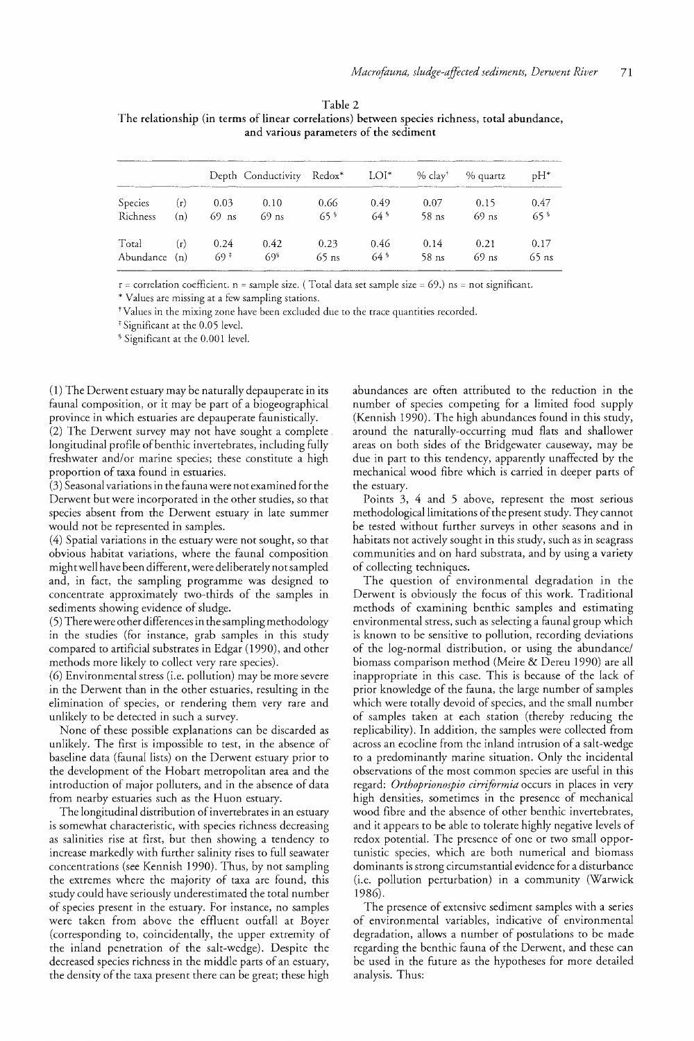#### Table 2

| The relationship (in terms of linear correlations) between species richness, total abundance, |                                        |  |
|-----------------------------------------------------------------------------------------------|----------------------------------------|--|
|                                                                                               | and various parameters of the sediment |  |

|               |     |         | Depth Conductivity | Redox*          | $LOI^*$         | $%$ clav <sup>†</sup> | % quartz | $pH^*$          |
|---------------|-----|---------|--------------------|-----------------|-----------------|-----------------------|----------|-----------------|
| Species       | (r) | 0.03    | 0.10               | 0.66            | 0.49            | 0.07                  | 0.15     | 0.47            |
| Richness      | (n) | $69$ ns | $69$ ns            | 65 <sup>9</sup> | 64 <sup>°</sup> | $58$ ns               | $69$ ns  | 65 <sup>9</sup> |
| Total         | (r) | 0.24    | 0.42               | 0.23            | 0.46            | 0.14                  | 0.21     | 0.17            |
| Abundance (n) |     | 69 ‡    | 69\$               | $65$ ns         | $64^{\circ}$    | 58 ns                 | $69$ ns  | $65$ ns         |

 $r =$  correlation coefficient.  $n =$  sample size. (Total data set sample size = 69.) ns = not significant.

\* Values are missing at a few sampling stations.

tValues in the mixing zone have been excluded due to the trace quantities recorded.

<sup>‡</sup> Significant at the 0.05 level.

§ Significant at the 0.001 level.

(1) The Derwent estuary may be naturally depauperate in its faunal composition, or it may be part of a biogeographical province in which estuaries are depauperate faunistically.

(2) The Derwent survey may not have sought a complete. longitudinal profile of benthic invertebrates, including fully freshwater and/or marine species; these constitute a high proportion of taxa found in estuaries.

(3) Seasonal variations in the fauna were not examined for the Derwent but were incorporated in the other studies, so that species absent from the Derwent estuary in late summer would not be represented in samples.

(4) Spatial variations in the estuary were not sought, so that obvious habitat variations, where the faunal composition might well have been different, were deliberately not sampled and, in fact, the sampling programme was designed to concentrate approximately two-thirds of the samples in sediments showing evidence of sludge.

(5) There were other differences in the sampling methodology in the studies (for instance, grab samples in this study compared to artificial substrates in Edgar (1990), and other methods more likely to collect very rare species).

(6) Environmental stress (i.e. pollution) may be more severe in the Derwent than in the other estuaries, resulting in the elimination of species, or rendering them very rare and unlikely to be detected in such a survey.

None of these possible explanations can be discarded as unlikely. The first is impossible to test, in the absence of baseline data (faunal lists) on the Derwent estuary prior to the development of the Hobart metropolitan area and the introduction of major polluters, and in the absence of data from nearby estuaries such as the Huon estuary.

The longitudinal distribution of invertebrates in an estuary is somewhat characteristic, with species richness decreasing as salinities rise at first, but then showing a tendency to increase markedly with further salinity rises to full seawater concentrations (see Kennish 1990). Thus, by not sampling the extremes where the majority of taxa are found, this study could have seriously underestimated the total number of species present in the estuary. For instance, no samples were taken from above the effluent outfall at Boyer (corresponding to, coincidentally, the upper extremity of the inland penetration of the salt-wedge). Despite the decreased species richness in the middle parts of an estuary, the density of the taxa present there can be great; these high

abundances are often attributed to the reduction in the number of species competing for a limited food supply (Kennish 1990). The high abundances found in this study, around the naturally-occurring mud flats and shallower areas on both sides of the Bridgewater causeway, may be due in part to this tendency, apparently unaffected by the mechanical wood fibre which is carried in deeper parts of the estuary.

Points 3, 4 and 5 above, represent the most serious methodological limitations of the present study. They cannot be tested without further surveys in other seasons and in habitats not actively sought in this study, such as in seagrass communities and on hard substrata, and by using a variety of collecting techniques.

The question of environmental degradation in the Derwent is obviously the focus of this work. Traditional methods of examining benthic samples and estimating environmental stress, such as selecting a faunal group which is known to be sensitive to pollution, recording deviations of the log-normal distribution, or using the abundance/ biomass comparison method (Meire & Dereu 1990) are all inappropriate in this case. This is because of the lack of prior knowledge of the fauna, the large number of samples which were totally devoid of species, and the small number of samples taken at each station (thereby reducing the replicability). In addition, the samples were collected from across an ecocline from the inland intrusion of a salt-wedge to a predominantly marine situation. Only the incidental observations of the most common species are useful in this regard: *Orthoprionospio cirriformia* occurs in places in very high densities, sometimes in the presence of mechanical wood fibre and the absence of other benthic invertebrates, and it appears to be able to tolerate highly negative levels of redox potential. The presence of one or two small opportunistic species, which are both numerical and biomass dominants is strong circumstantial evidence for a disturbance (i.e. pollution perturbation) in a community (Warwick 1986).

The presence of extensive sediment samples with a series of environmental variables, indicative of environmental degradation, allows a number of postulations to be made regarding the benthic fauna of the Derwent, and these can be used in the future as the hypotheses for more detailed analysis. Thus: